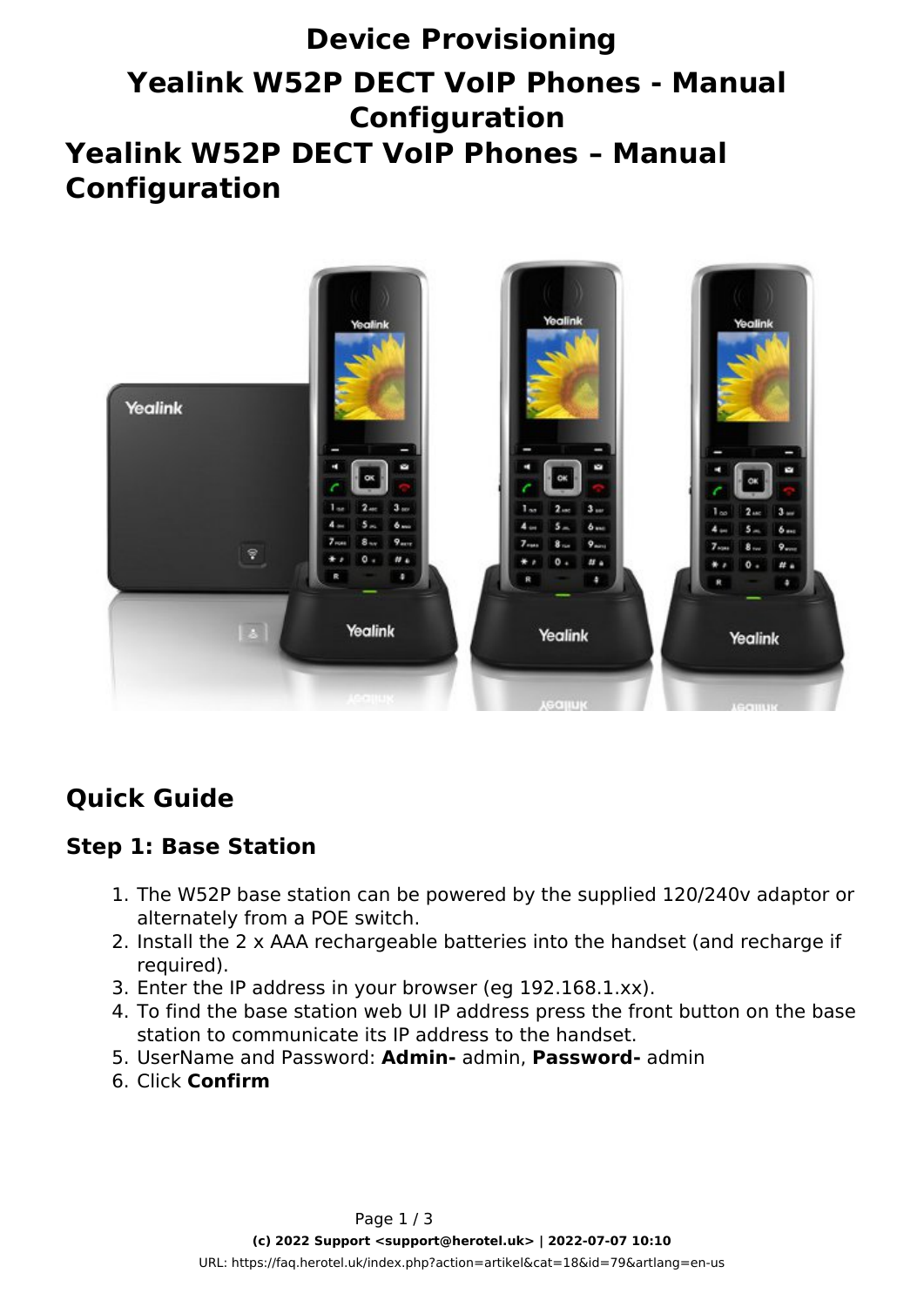# **Device Provisioning Yealink W52P DECT VoIP Phones - Manual Configuration Yealink W52P DECT VoIP Phones – Manual Configuration**



# **Quick Guide**

### **Step 1: Base Station**

- 1. The W52P base station can be powered by the supplied 120/240v adaptor or alternately from a POE switch.
- 2. Install the 2 x AAA rechargeable batteries into the handset (and recharge if required).
- 3. Enter the IP address in your browser (eg 192.168.1.xx).
- 4. To find the base station web UI IP address press the front button on the base station to communicate its IP address to the handset.
- 5. UserName and Password: **Admin-** admin, **Password-** admin
- 6. Click **Confirm**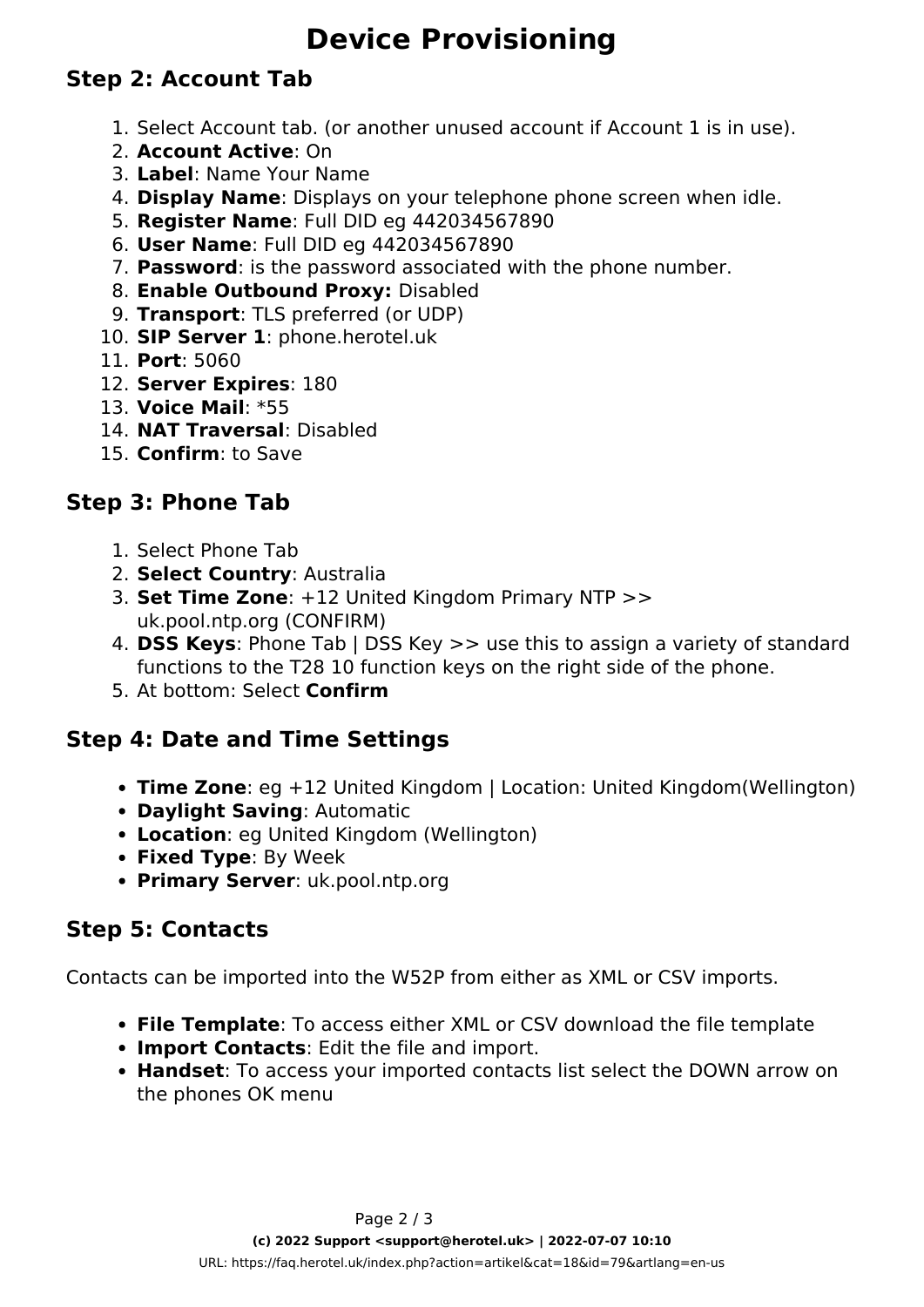# **Device Provisioning**

## **Step 2: Account Tab**

- 1. Select Account tab. (or another unused account if Account 1 is in use).
- 2. **Account Active**: On
- 3. **Label**: Name Your Name
- 4. **Display Name**: Displays on your telephone phone screen when idle.
- 5. **Register Name**: Full DID eg 442034567890
- 6. **User Name**: Full DID eg 442034567890
- 7. **Password**: is the password associated with the phone number.
- 8. **Enable Outbound Proxy:** Disabled
- 9. **Transport**: TLS preferred (or UDP)
- 10. **SIP Server 1**: phone.herotel.uk
- 11. **Port**: 5060
- 12. **Server Expires**: 180
- 13. **Voice Mail**: \*55
- 14. **NAT Traversal**: Disabled
- 15. **Confirm**: to Save

### **Step 3: Phone Tab**

- 1. Select Phone Tab
- 2. **Select Country**: Australia
- 3. **Set Time Zone**: +12 United Kingdom Primary NTP >> uk.pool.ntp.org (CONFIRM)
- 4. **DSS Keys**: Phone Tab | DSS Key >> use this to assign a variety of standard functions to the T28 10 function keys on the right side of the phone.
- 5. At bottom: Select **Confirm**

### **Step 4: Date and Time Settings**

- **Time Zone**: eg +12 United Kingdom | Location: United Kingdom(Wellington)
- **Daylight Saving**: Automatic
- **Location**: eg United Kingdom (Wellington)
- **Fixed Type**: By Week
- **Primary Server**: uk.pool.ntp.org

### **Step 5: Contacts**

Contacts can be imported into the W52P from either as XML or CSV imports.

- **File Template**: To access either XML or CSV download the file template
- **Import Contacts**: Edit the file and import.
- **Handset**: To access your imported contacts list select the DOWN arrow on the phones OK menu